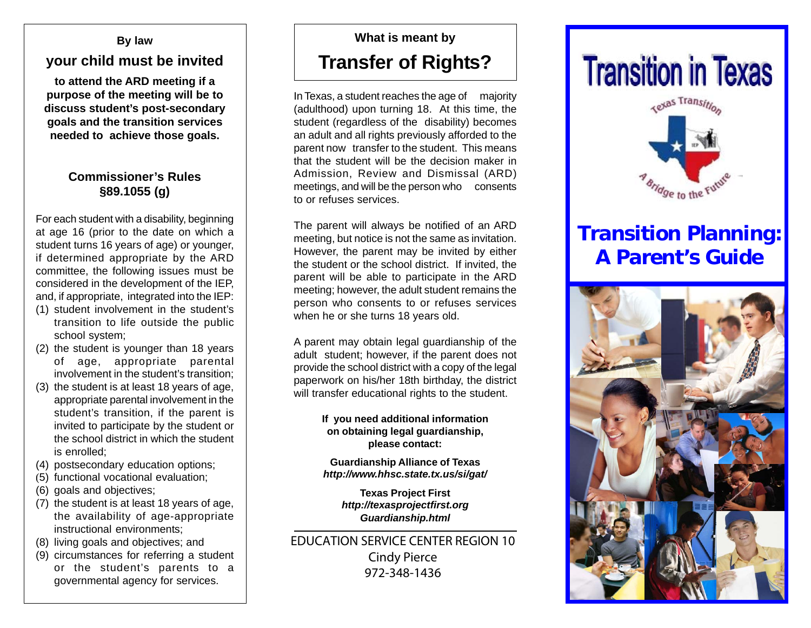#### **By law**

## **your child must be invited**

**to attend the ARD meeting if a purpose of the meeting will be to discuss student's post-secondary goals and the transition services needed to achieve those goals.**

### **Commissioner's Rules §89.1055 (g)**

For each student with a disability, beginning at age 16 (prior to the date on which a student turns 16 years of age) or younger, if determined appropriate by the ARD committee, the following issues must be considered in the development of the IEP, and, if appropriate, integrated into the IEP:

- (1) student involvement in the student's transition to life outside the public school system;
- (2) the student is younger than 18 years of age, appropriate parental involvement in the student's transition;
- (3) the student is at least 18 years of age, appropriate parental involvement in the student's transition, if the parent is invited to participate by the student or the school district in which the student is enrolled;
- (4) postsecondary education options;
- (5) functional vocational evaluation;
- (6) goals and objectives;
- (7) the student is at least 18 years of age, the availability of age-appropriate instructional environments;
- (8) living goals and objectives; and
- (9) circumstances for referring a student or the student's parents to a

## **What is meant by Transfer of Rights?**

In Texas, a student reaches the age of majority (adulthood) upon turning 18. At this time, the student (regardless of the disability) becomes an adult and all rights previously afforded to the parent now transfer to the student. This means that the student will be the decision maker in Admission, Review and Dismissal (ARD) meetings, and will be the person who consents to or refuses services.

The parent will always be notified of an ARD meeting, but notice is not the same as invitation. However, the parent may be invited by either the student or the school district. If invited, the parent will be able to participate in the ARD meeting; however, the adult student remains the person who consents to or refuses services when he or she turns 18 years old.

A parent may obtain legal guardianship of the adult student; however, if the parent does not provide the school district with a copy of the legal paperwork on his/her 18th birthday, the district will transfer educational rights to the student.

#### **If you need additional information on obtaining legal guardianship, please contact:**

**Guardianship Alliance of Texas** *http://www.hhsc.state.tx.us/si/gat/*

> **Texas Project First** *http://texasprojectfirst.org Guardianship.html*

living goals and objectives; and <br>circumstances for referring a student circumstances for referring a student<br>or the student's parents to a governmental agency for services.  $972-348-1436$ 972-348-1436

# **Transition in Texas**



# **Transition Planning: A Parent's Guide**